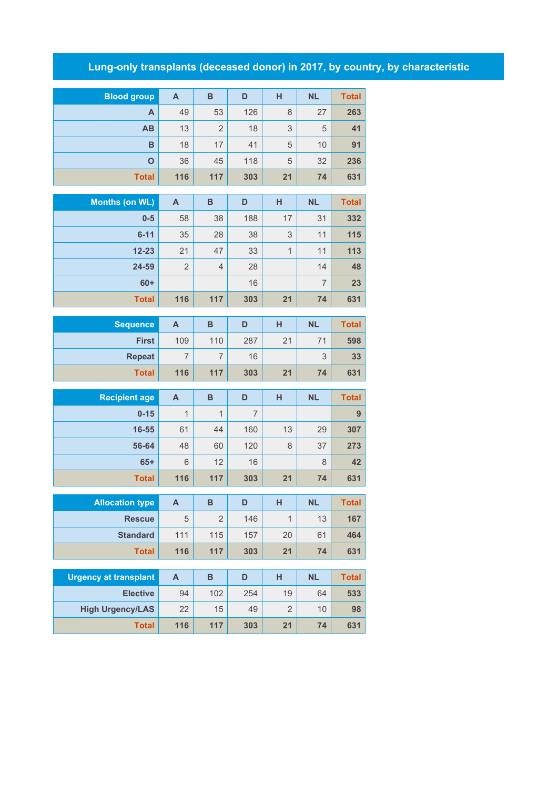## **Lung-only transplants (deceased donor) in 2017, by country, by characteristic**

| <b>Blood group</b>           | $\mathsf{A}$              | $\overline{\mathsf{B}}$ | D              | н              | <b>NL</b>      | <b>Total</b> |
|------------------------------|---------------------------|-------------------------|----------------|----------------|----------------|--------------|
| A                            | 49                        | 53                      | 126            | 8              | 27             | 263          |
| AB                           | 13                        | $\overline{2}$          | 18             | 3              | 5              | 41           |
| B                            | 18                        | 17                      | 41             | 5              | 10             | 91           |
| $\mathbf{o}$                 | 36                        | 45                      | 118            | 5              | 32             | 236          |
| <b>Total</b>                 | 116                       | 117                     | 303            | 21             | 74             | 631          |
|                              |                           |                         |                |                |                |              |
| <b>Months (on WL)</b>        | $\overline{A}$            | B                       | D              | H              | <b>NL</b>      | <b>Total</b> |
| $0-5$                        | 58                        | 38                      | 188            | 17             | 31             | 332          |
| $6 - 11$                     | 35                        | 28                      | 38             | 3              | 11             | 115          |
| $12 - 23$                    | 21                        | 47                      | 33             | $\mathbf{1}$   | 11             | 113          |
| 24-59                        | $\overline{2}$            | $\overline{4}$          | 28             |                | 14             | 48           |
| $60+$                        |                           |                         | 16             |                | $\overline{7}$ | 23           |
| <b>Total</b>                 | 116                       | 117                     | 303            | 21             | 74             | 631          |
|                              |                           |                         |                |                |                |              |
| <b>Sequence</b>              | A                         | B                       | D              | H              | <b>NL</b>      | <b>Total</b> |
| <b>First</b>                 | 109                       | 110                     | 287            | 21             | 71             | 598          |
| <b>Repeat</b>                | $\overline{7}$            | $\overline{7}$          | 16             |                | 3              | 33           |
| <b>Total</b>                 | 116                       | 117                     | 303            | 21             | 74             | 631          |
| <b>Recipient age</b>         | $\mathsf{A}$              | B                       | D              | н              | <b>NL</b>      | <b>Total</b> |
| $0 - 15$                     | 1                         | $\mathbf{1}$            | $\overline{7}$ |                |                | 9            |
| $16 - 55$                    | 61                        | 44                      | 160            | 13             | 29             | 307          |
| 56-64                        | 48                        | 60                      | 120            | 8              | 37             | 273          |
| $65+$                        | 6                         | 12                      | 16             |                | 8              | 42           |
| <b>Total</b>                 | 116                       | 117                     | 303            | 21             | 74             | 631          |
|                              |                           |                         |                |                |                |              |
| <b>Allocation type</b>       | A                         | B                       | D              | H              | <b>NL</b>      | <b>Total</b> |
| <b>Rescue</b>                | 5                         | $\overline{2}$          | 146            | $\mathbf{1}$   | 13             | 167          |
| <b>Standard</b>              | 111                       | 115                     | 157            | 20             | 61             | 464          |
| <b>Total</b>                 | 116                       | 117                     | 303            | 21             | 74             | 631          |
|                              |                           |                         |                |                |                |              |
| <b>Urgency at transplant</b> | $\boldsymbol{\mathsf{A}}$ | $\overline{\mathsf{B}}$ | D              | H              | <b>NL</b>      | <b>Total</b> |
|                              |                           |                         |                |                |                |              |
| <b>Elective</b>              | 94                        | 102                     | 254            | 19             | 64             | 533          |
| <b>High Urgency/LAS</b>      | 22                        | 15                      | 49             | $\overline{2}$ | 10             | 98           |